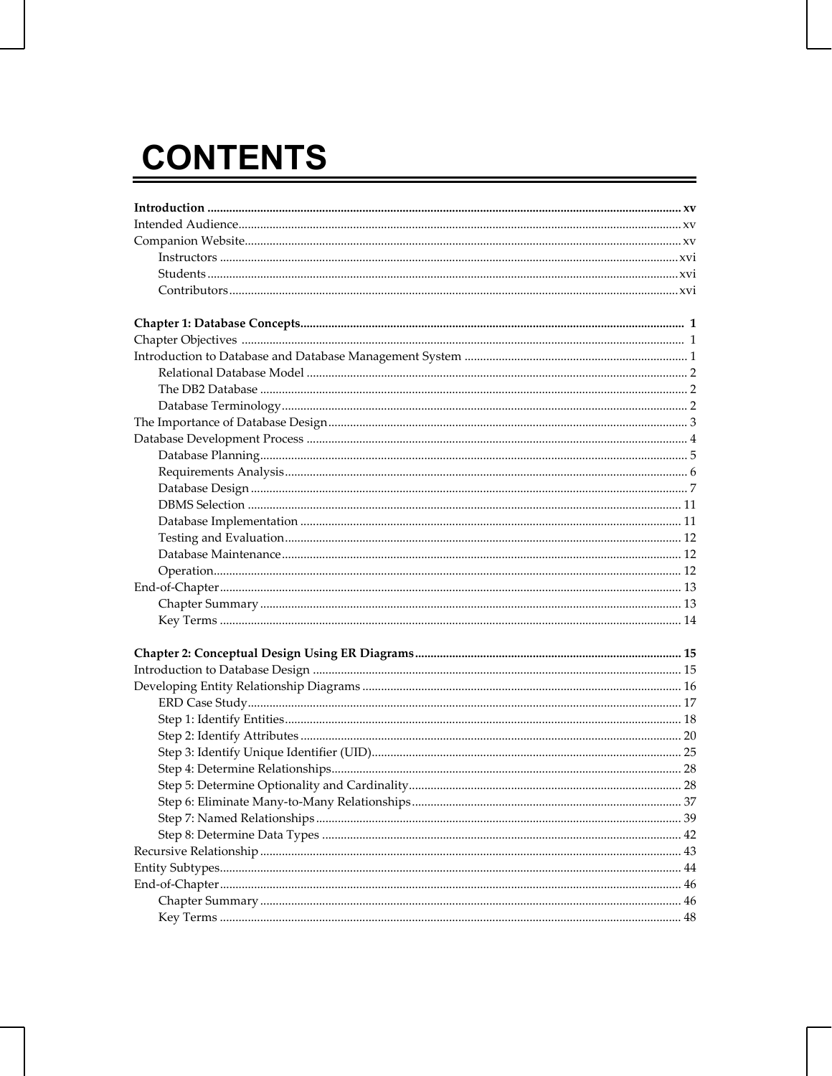## **CONTENTS**

| Step 6: Eliminate Many-to-Many Relationships<br>37 |  |
|----------------------------------------------------|--|
|                                                    |  |
|                                                    |  |
|                                                    |  |
|                                                    |  |
|                                                    |  |
|                                                    |  |
|                                                    |  |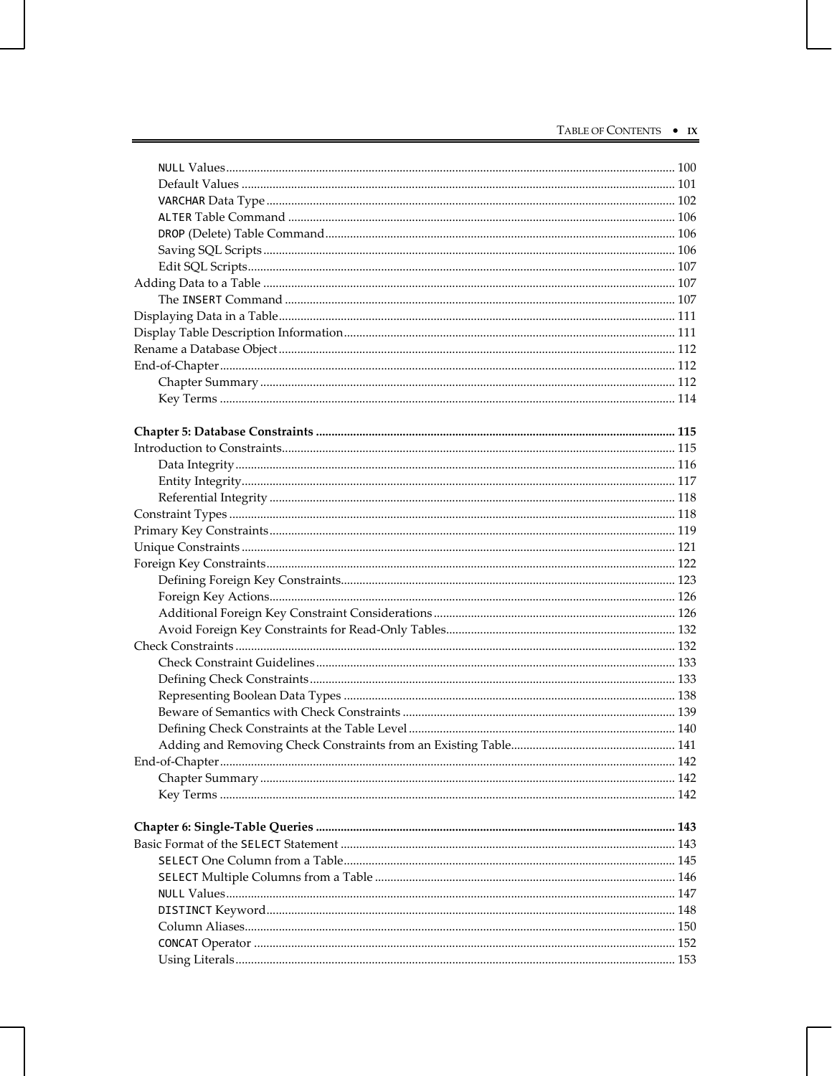| . 142 |
|-------|
|       |
|       |
|       |
|       |
|       |
|       |
|       |
|       |
|       |
|       |
|       |
|       |
|       |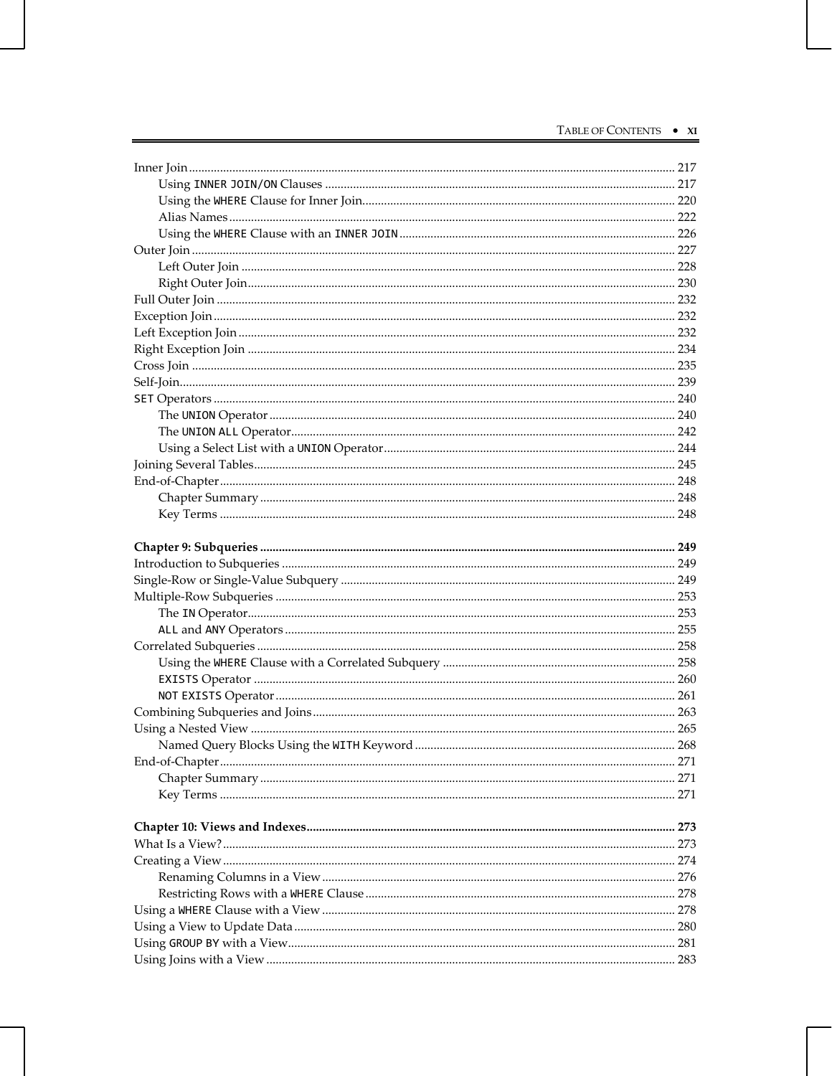| 271 |
|-----|
|     |
|     |
|     |
|     |
|     |
|     |
|     |
|     |
|     |
|     |
|     |
|     |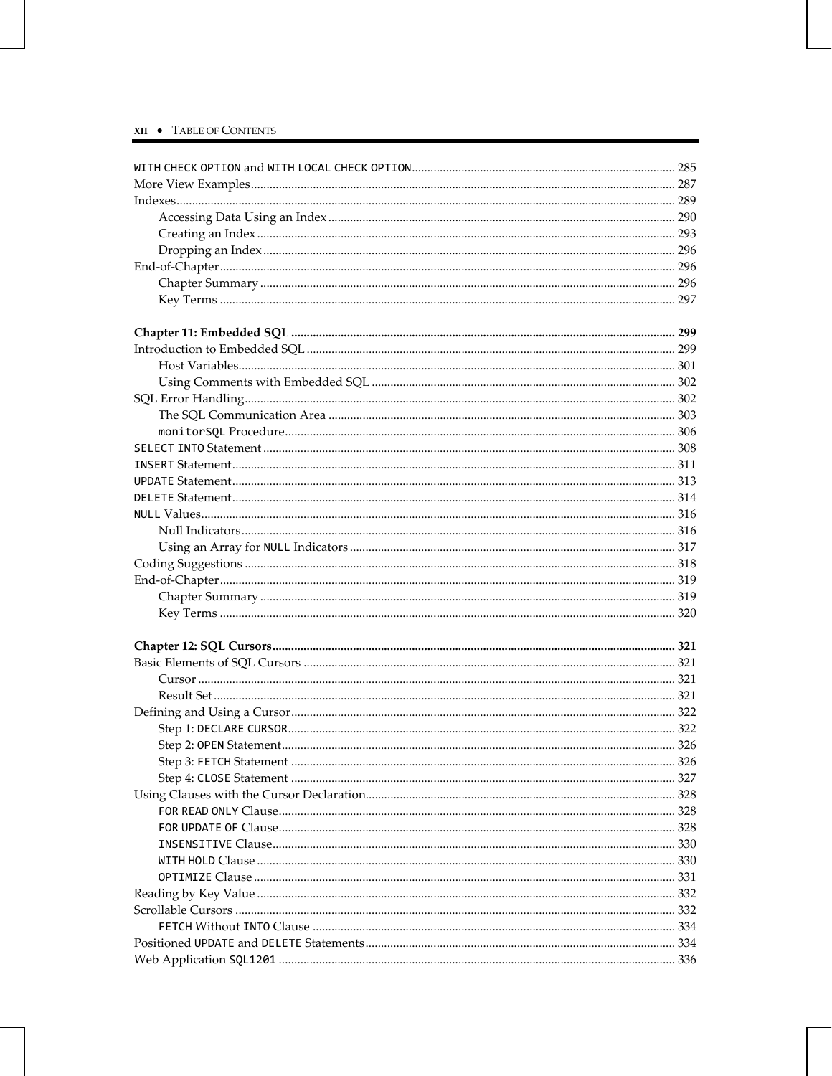| 326 |
|-----|
|     |
|     |
|     |
|     |
|     |
|     |
|     |
|     |
|     |
|     |
|     |
|     |
|     |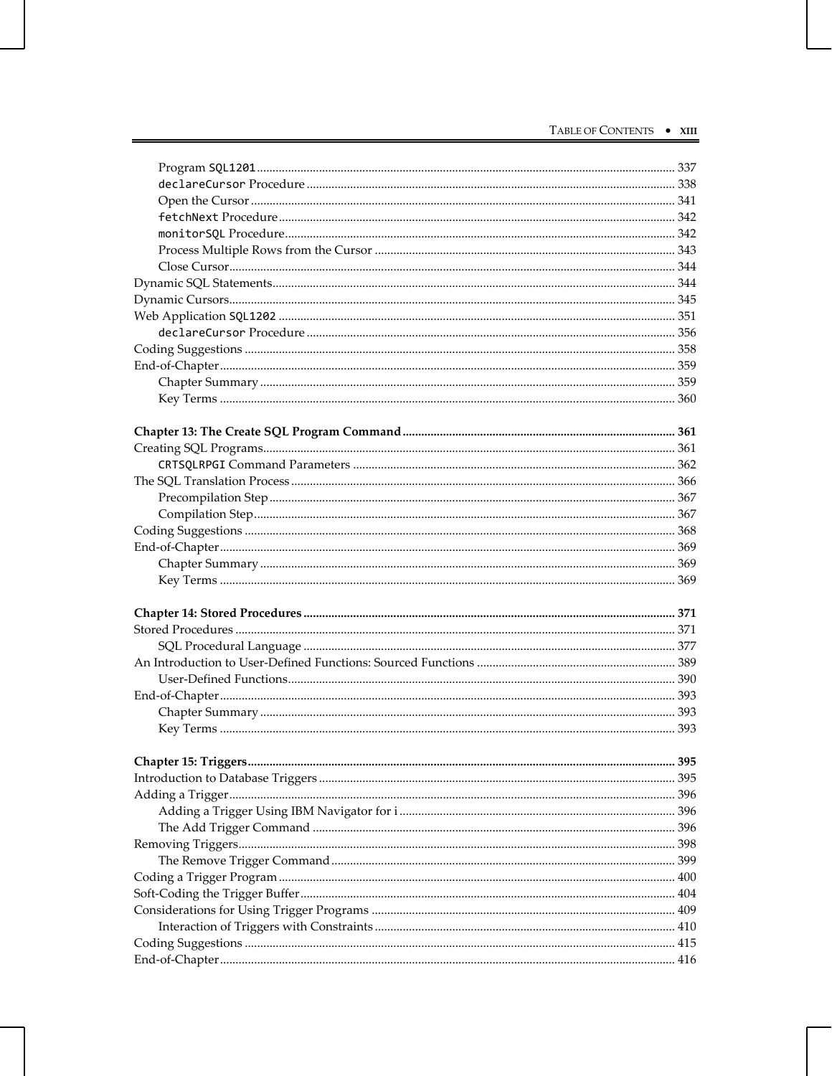| 395 |
|-----|
|     |
|     |
|     |
|     |
|     |
|     |
|     |
|     |
|     |
|     |
|     |
|     |
|     |